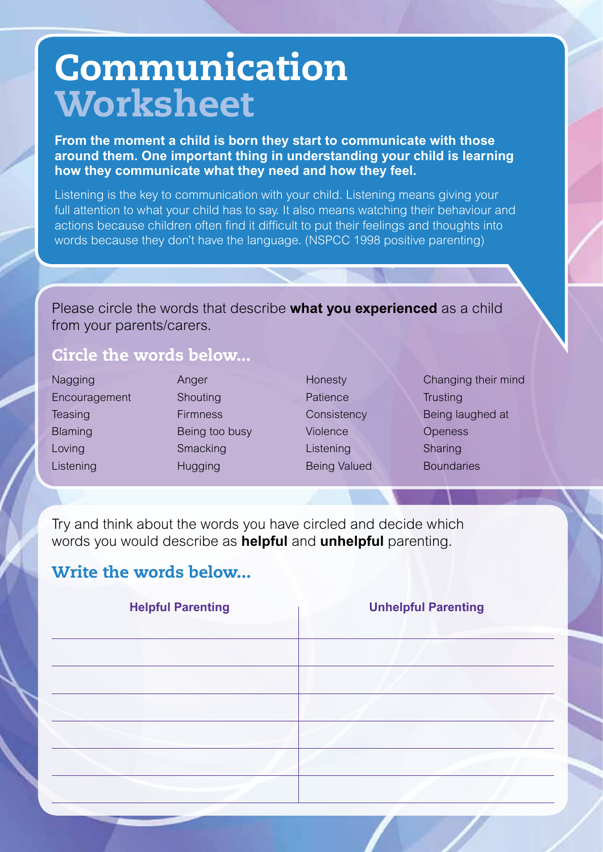# **Communication Worksheet**

**From the moment a child is born they start to communicate with those around them. One important thing in understanding your child is learning how they communicate what they need and how they feel.**

Listening is the key to communication with your child. Listening means giving your full attention to what your child has to say. It also means watching their behaviour and actions because children often find it difficult to put their feelings and thoughts into words because they don't have the language. (NSPCC 1998 positive parenting)

Please circle the words that describe **what you experienced** as a child from your parents/carers.

### Circle the words below...

| Nagging        | Anger           | Honesty             | Changing their mind |
|----------------|-----------------|---------------------|---------------------|
| Encouragement  | Shouting        | Patience            | <b>Trusting</b>     |
| Teasing        | <b>Firmness</b> | Consistency         | Being laughed at    |
| <b>Blaming</b> | Being too busy  | Violence            | <b>Openess</b>      |
| Loving         | Smacking        | Listening           | Sharing             |
| Listening      | <b>Hugging</b>  | <b>Being Valued</b> | <b>Boundaries</b>   |

Try and think about the words you have circled and decide which words you would describe as **helpful** and **unhelpful** parenting.

### Write the words below...

| <b>Helpful Parenting</b> | <b>Unhelpful Parenting</b> |
|--------------------------|----------------------------|
|                          |                            |
|                          |                            |
|                          |                            |
|                          |                            |
|                          |                            |
|                          |                            |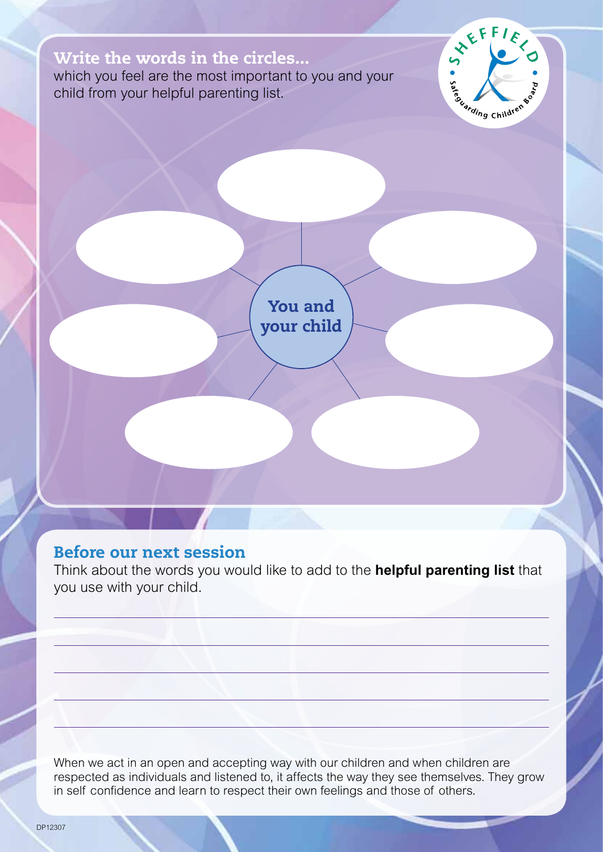### Write the words in the circles...

which you feel are the most important to you and your child from your helpful parenting list.



You and your child

### Before our next session

Think about the words you would like to add to the **helpful parenting list** that you use with your child.

When we act in an open and accepting way with our children and when children are respected as individuals and listened to, it affects the way they see themselves. They grow in self confidence and learn to respect their own feelings and those of others.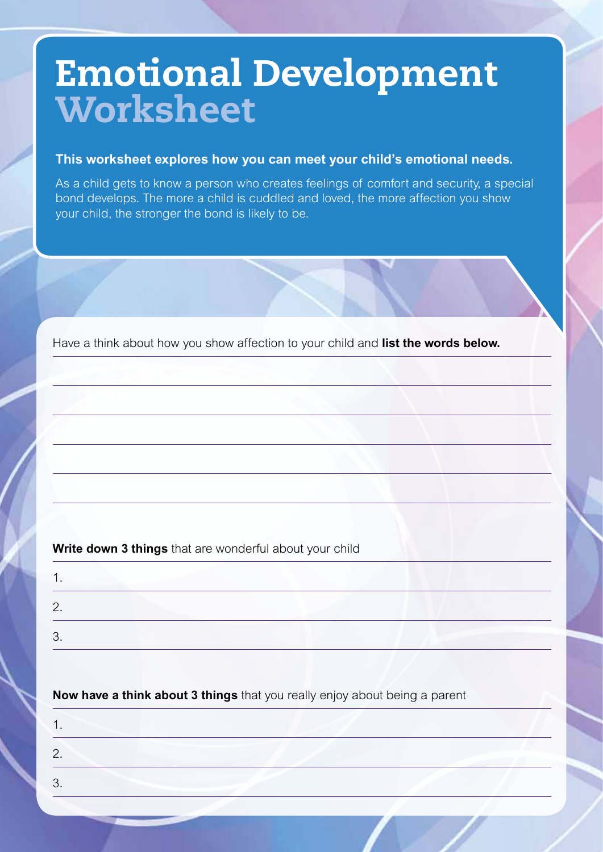## Emotional Development Worksheet

#### **This worksheet explores how you can meet your child's emotional needs.**

As a child gets to know a person who creates feelings of comfort and security, a special bond develops. The more a child is cuddled and loved, the more affection you show your child, the stronger the bond is likely to be.

Have a think about how you show affection to your child and **list the words below.**

**Write down 3 things** that are wonderful about your child

| ◢<br>. .      |  |
|---------------|--|
| ◠<br><u>.</u> |  |
| ◠<br>J.       |  |
|               |  |

**Now have a think about 3 things** that you really enjoy about being a parent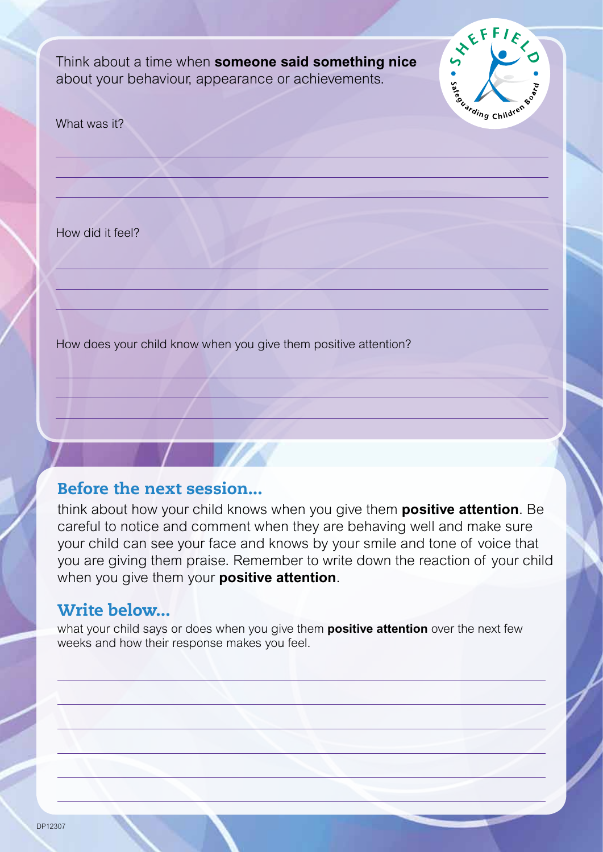Think about a time when **someone said something nice** about your behaviour, appearance or achievements.



What was it?

How did it feel?

How does your child know when you give them positive attention?

### Before the next session...

think about how your child knows when you give them **positive attention**. Be careful to notice and comment when they are behaving well and make sure your child can see your face and knows by your smile and tone of voice that you are giving them praise. Remember to write down the reaction of your child when you give them your **positive attention**.

### Write below...

what your child says or does when you give them **positive attention** over the next few weeks and how their response makes you feel.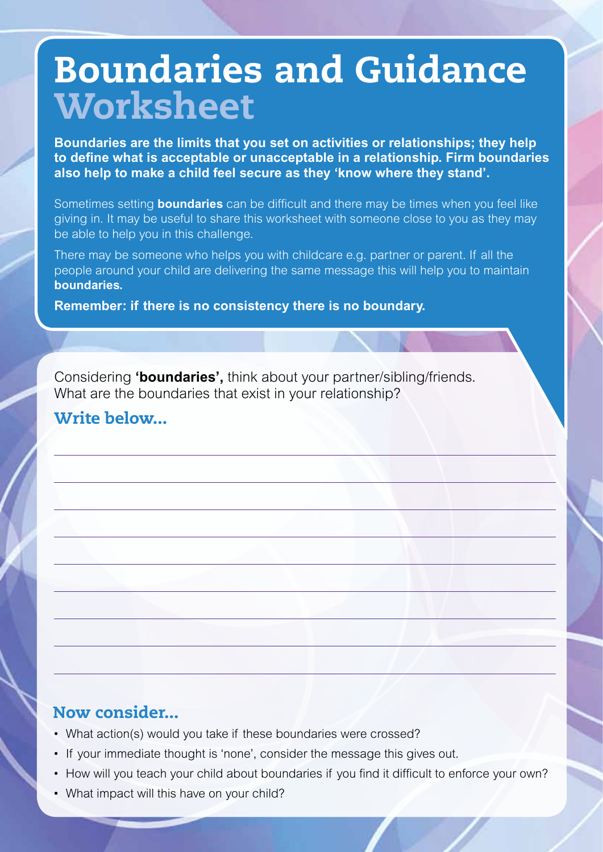## Boundaries and Guidance Worksheet

**Boundaries are the limits that you set on activities or relationships; they help to define what is acceptable or unacceptable in a relationship. Firm boundaries also help to make a child feel secure as they 'know where they stand'.**

Sometimes setting **boundaries** can be difficult and there may be times when you feel like giving in. It may be useful to share this worksheet with someone close to you as they may be able to help you in this challenge.

There may be someone who helps you with childcare e.g. partner or parent. If all the people around your child are delivering the same message this will help you to maintain **boundaries.**

**Remember: if there is no consistency there is no boundary.** 

Considering **'boundaries',** think about your partner/sibling/friends. What are the boundaries that exist in your relationship?

### Write below...

### Now consider...

- What action(s) would you take if these boundaries were crossed?
- If your immediate thought is 'none', consider the message this gives out.
- How will you teach your child about boundaries if you find it difficult to enforce your own?
- What impact will this have on your child?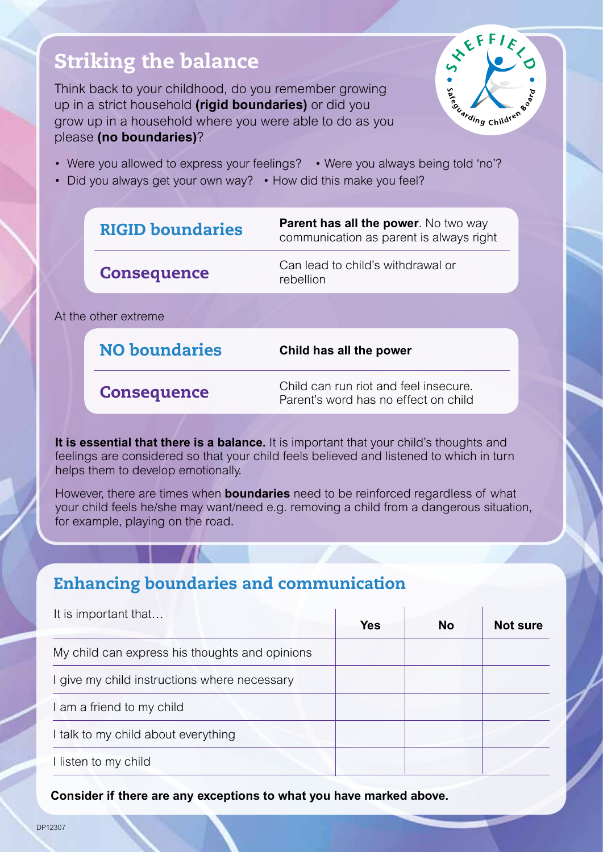## Striking the balance

Think back to your childhood, do you remember growing up in a strict household **(rigid boundaries)** or did you grow up in a household where you were able to do as you please **(no boundaries)**?



- Were you allowed to express your feelings? Were you always being told 'no'?
- Did you always get your own way? How did this make you feel?

|                      | <b>RIGID boundaries</b> | <b>Parent has all the power.</b> No two way<br>communication as parent is always right |
|----------------------|-------------------------|----------------------------------------------------------------------------------------|
|                      | <b>Consequence</b>      | Can lead to child's withdrawal or<br>rebellion                                         |
| At the other extreme |                         |                                                                                        |
|                      | <b>NO boundaries</b>    | Child has all the power                                                                |
|                      | <b>Consequence</b>      | Child can run riot and feel insecure.<br>Parent's word has no effect on child          |

**It is essential that there is a balance.** It is important that your child's thoughts and feelings are considered so that your child feels believed and listened to which in turn helps them to develop emotionally.

However, there are times when **boundaries** need to be reinforced regardless of what your child feels he/she may want/need e.g. removing a child from a dangerous situation, for example, playing on the road.

### Enhancing boundaries and communication

| It is important that                           | Yes | <b>No</b> | Not sure |
|------------------------------------------------|-----|-----------|----------|
| My child can express his thoughts and opinions |     |           |          |
| I give my child instructions where necessary   |     |           |          |
| I am a friend to my child                      |     |           |          |
| I talk to my child about everything            |     |           |          |
| I listen to my child                           |     |           |          |

**Consider if there are any exceptions to what you have marked above.**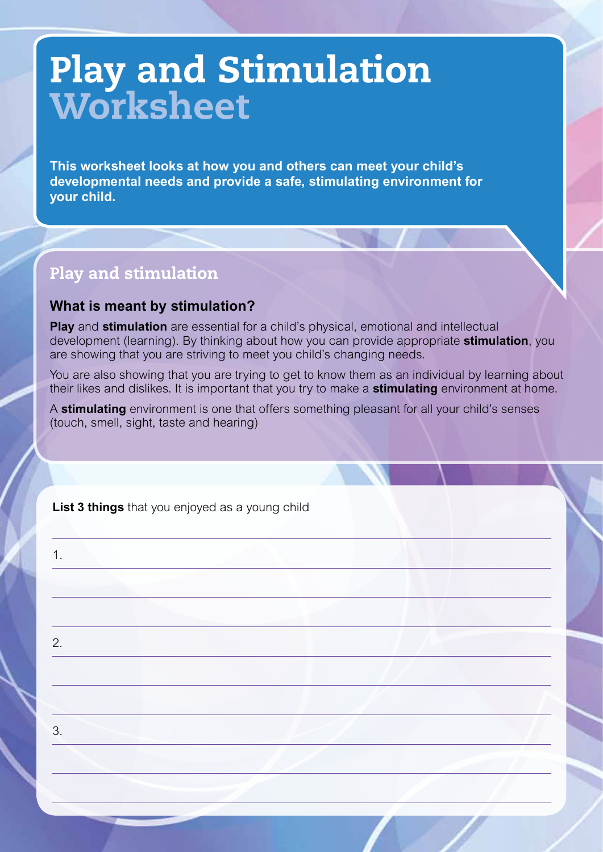# Play and Stimulation Worksheet

**This worksheet looks at how you and others can meet your child's developmental needs and provide a safe, stimulating environment for your child.**

### Play and stimulation

### **What is meant by stimulation?**

**Play** and **stimulation** are essential for a child's physical, emotional and intellectual development (learning). By thinking about how you can provide appropriate **stimulation**, you are showing that you are striving to meet you child's changing needs.

You are also showing that you are trying to get to know them as an individual by learning about their likes and dislikes. It is important that you try to make a **stimulating** environment at home.

A **stimulating** environment is one that offers something pleasant for all your child's senses (touch, smell, sight, taste and hearing)

**List 3 things** that you enjoyed as a young child

1. 2. 3.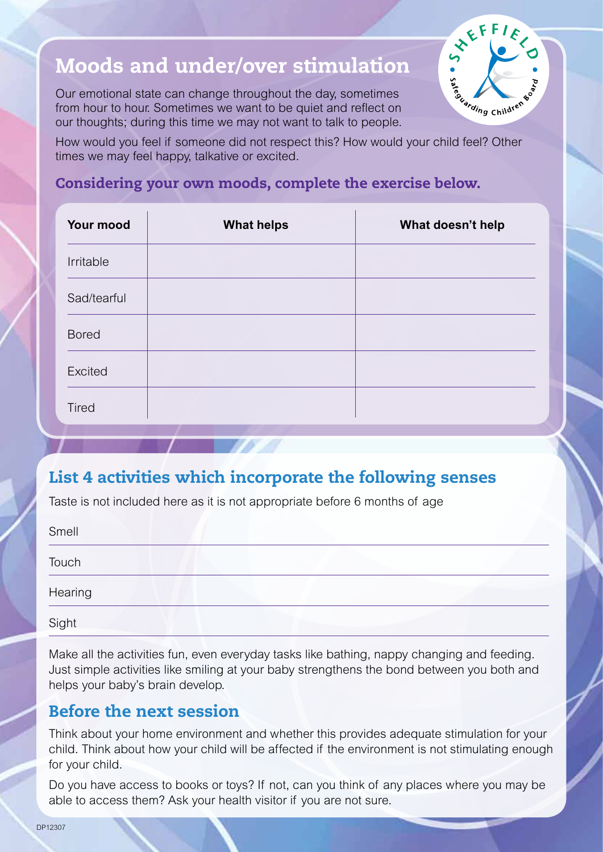## Moods and under/over stimulation

Our emotional state can change throughout the day, sometimes from hour to hour. Sometimes we want to be quiet and reflect on our thoughts; during this time we may not want to talk to people.



How would you feel if someone did not respect this? How would your child feel? Other times we may feel happy, talkative or excited.

### Considering your own moods, complete the exercise below.

| Your mood    | <b>What helps</b> | What doesn't help |
|--------------|-------------------|-------------------|
| Irritable    |                   |                   |
| Sad/tearful  |                   |                   |
| <b>Bored</b> |                   |                   |
| Excited      |                   |                   |
| <b>Tired</b> |                   |                   |

### List 4 activities which incorporate the following senses

Taste is not included here as it is not appropriate before 6 months of age

| Smell   |  |
|---------|--|
| Touch   |  |
| Hearing |  |
| Sight   |  |

Make all the activities fun, even everyday tasks like bathing, nappy changing and feeding. Just simple activities like smiling at your baby strengthens the bond between you both and helps your baby's brain develop.

### Before the next session

Think about your home environment and whether this provides adequate stimulation for your child. Think about how your child will be affected if the environment is not stimulating enough for your child.

Do you have access to books or toys? If not, can you think of any places where you may be able to access them? Ask your health visitor if you are not sure.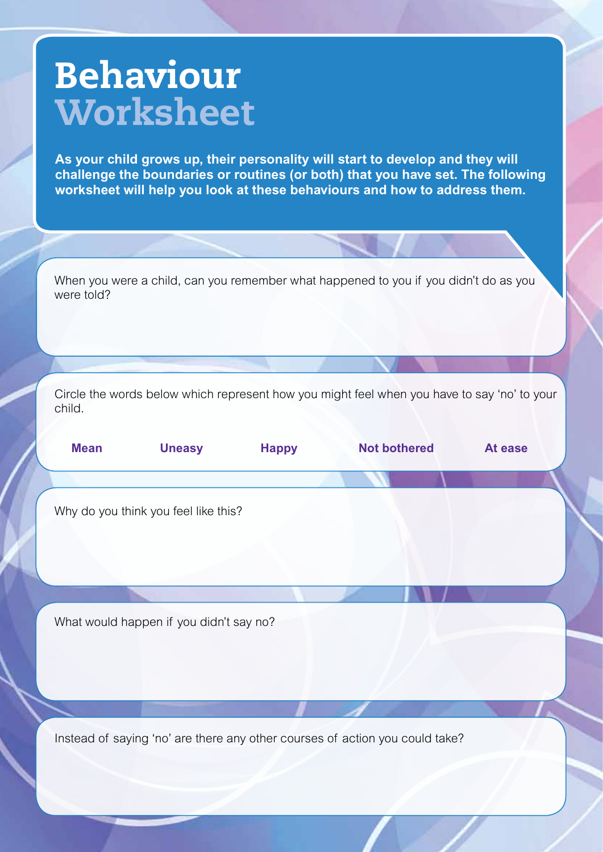# Behaviour **Worksheet**

**As your child grows up, their personality will start to develop and they will challenge the boundaries or routines (or both) that you have set. The following worksheet will help you look at these behaviours and how to address them.**

When you were a child, can you remember what happened to you if you didn't do as you were told?

Circle the words below which represent how you might feel when you have to say 'no' to your child.

| <b>Mean</b> | <b>Uneasy</b>                           | <b>Happy</b> | <b>Not bothered</b> | At ease |
|-------------|-----------------------------------------|--------------|---------------------|---------|
|             |                                         |              |                     |         |
|             | Why do you think you feel like this?    |              |                     |         |
|             |                                         |              |                     |         |
|             |                                         |              |                     |         |
|             |                                         |              |                     |         |
|             | What would happen if you didn't say no? |              |                     |         |
|             |                                         |              |                     |         |
|             |                                         |              |                     |         |
|             |                                         |              |                     |         |

Instead of saying 'no' are there any other courses of action you could take?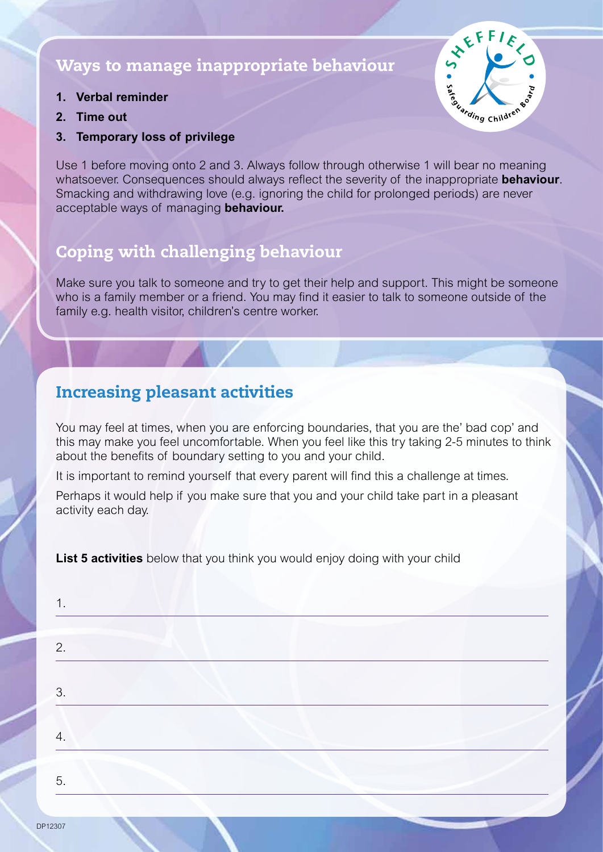### Ways to manage inappropriate behaviour

- **1. Verbal reminder**
- **2. Time out**
- **3. Temporary loss of privilege**

Use 1 before moving onto 2 and 3. Always follow through otherwise 1 will bear no meaning whatsoever. Consequences should always reflect the severity of the inappropriate **behaviour**. Smacking and withdrawing love (e.g. ignoring the child for prolonged periods) are never acceptable ways of managing **behaviour.**

### Coping with challenging behaviour

Make sure you talk to someone and try to get their help and support. This might be someone who is a family member or a friend. You may find it easier to talk to someone outside of the family e.g. health visitor, children's centre worker.

### Increasing pleasant activities

You may feel at times, when you are enforcing boundaries, that you are the' bad cop' and this may make you feel uncomfortable. When you feel like this try taking 2-5 minutes to think about the benefits of boundary setting to you and your child.

It is important to remind yourself that every parent will find this a challenge at times.

Perhaps it would help if you make sure that you and your child take part in a pleasant activity each day.

**List 5 activities** below that you think you would enjoy doing with your child

| 2. |  |
|----|--|
| 3. |  |
| 4. |  |
| 5. |  |

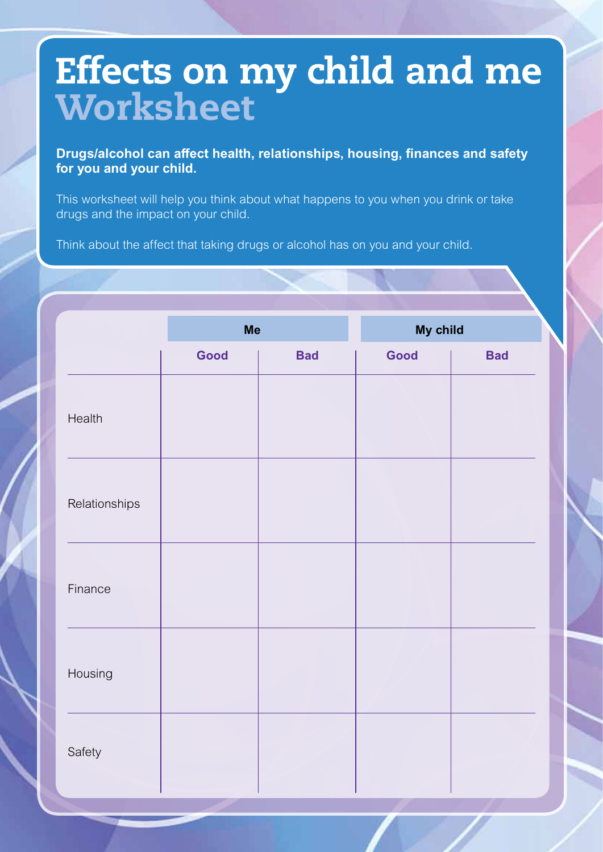# Effects on my child and me **Worksheet**

**Drugs/alcohol can affect health, relationships, housing, finances and safety for you and your child.**

This worksheet will help you think about what happens to you when you drink or take drugs and the impact on your child.

Think about the affect that taking drugs or alcohol has on you and your child.

|               | <b>Me</b> |            | My child |            |
|---------------|-----------|------------|----------|------------|
|               | Good      | <b>Bad</b> | Good     | <b>Bad</b> |
| Health        |           |            |          |            |
| Relationships |           |            |          |            |
| Finance       |           |            |          |            |
| Housing       |           |            |          |            |
| Safety        |           |            |          |            |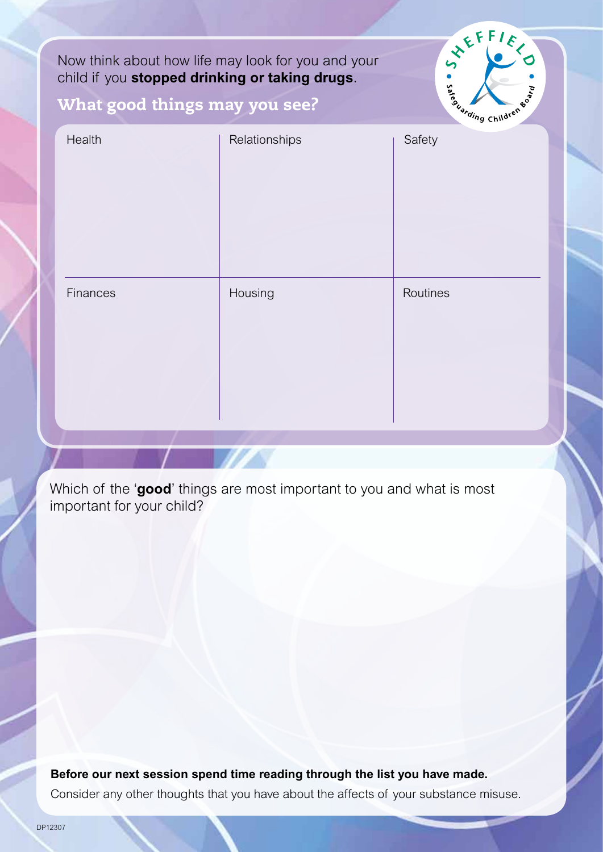Now think about how life may look for you and your child if you **stopped drinking or taking drugs**.



### What good things may you see?

| Health   | Relationships | Safety   |
|----------|---------------|----------|
| Finances | Housing       | Routines |

Which of the '**good**' things are most important to you and what is most important for your child?

**Before our next session spend time reading through the list you have made.** Consider any other thoughts that you have about the affects of your substance misuse.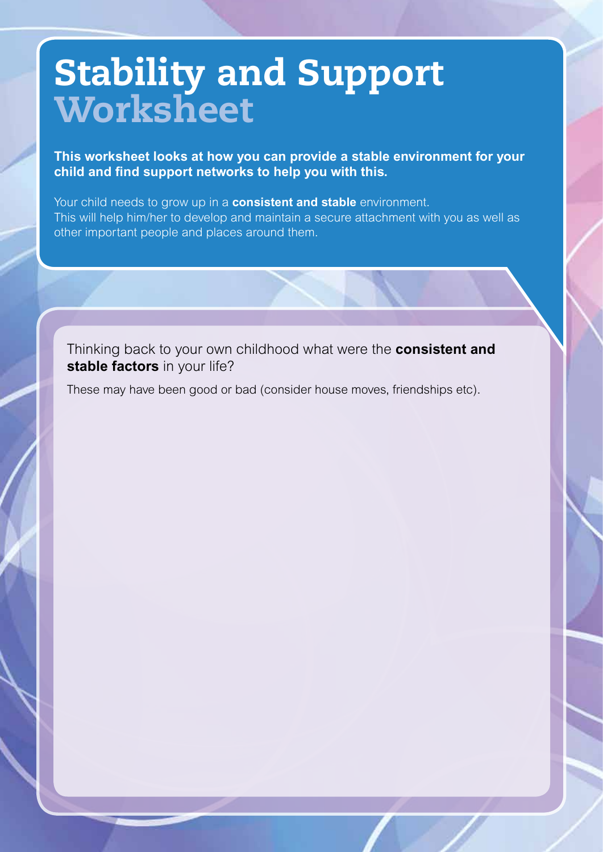# Stability and Support **Worksheet**

**This worksheet looks at how you can provide a stable environment for your child and find support networks to help you with this.**

Your child needs to grow up in a **consistent and stable** environment. This will help him/her to develop and maintain a secure attachment with you as well as other important people and places around them.

Thinking back to your own childhood what were the **consistent and stable factors** in your life?

These may have been good or bad (consider house moves, friendships etc).